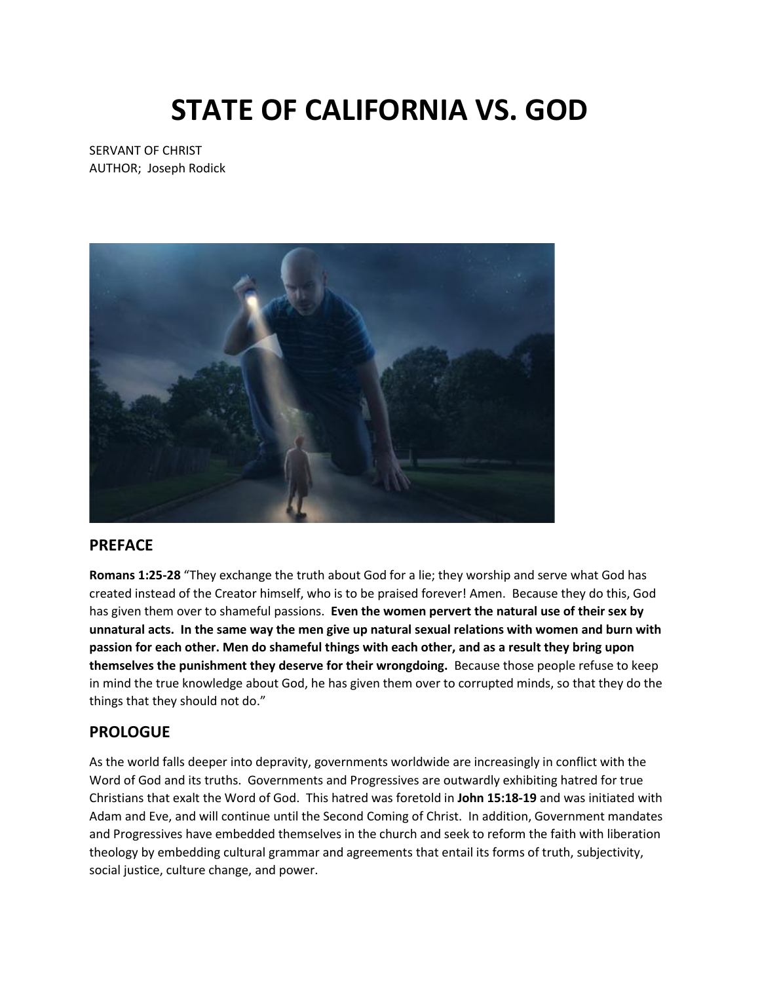# **STATE OF CALIFORNIA VS. GOD**

SERVANT OF CHRIST AUTHOR; Joseph Rodick



#### **PREFACE**

**Romans 1:25-28** "They exchange the truth about God for a lie; they worship and serve what God has created instead of the Creator himself, who is to be praised forever! Amen. Because they do this, God has given them over to shameful passions. **Even the women pervert the natural use of their sex by unnatural acts. In the same way the men give up natural sexual relations with women and burn with passion for each other. Men do shameful things with each other, and as a result they bring upon themselves the punishment they deserve for their wrongdoing.** Because those people refuse to keep in mind the true knowledge about God, he has given them over to corrupted minds, so that they do the things that they should not do."

#### **PROLOGUE**

As the world falls deeper into depravity, governments worldwide are increasingly in conflict with the Word of God and its truths. Governments and Progressives are outwardly exhibiting hatred for true Christians that exalt the Word of God. This hatred was foretold in **John 15:18-19** and was initiated with Adam and Eve, and will continue until the Second Coming of Christ. In addition, Government mandates and Progressives have embedded themselves in the church and seek to reform the faith with liberation theology by embedding cultural grammar and agreements that entail its forms of truth, subjectivity, social justice, culture change, and power.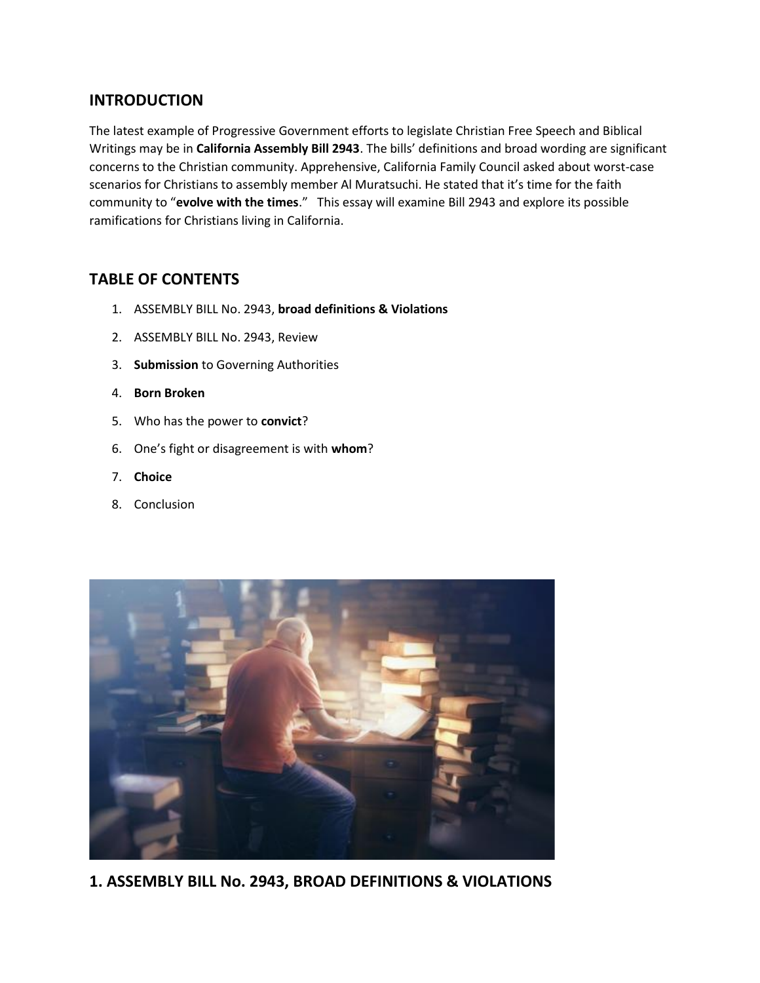## **INTRODUCTION**

The latest example of Progressive Government efforts to legislate Christian Free Speech and Biblical Writings may be in **California Assembly Bill 2943**. The bills' definitions and broad wording are significant concerns to the Christian community. Apprehensive, California Family Council asked about worst-case scenarios for Christians to assembly member Al Muratsuchi. He stated that it's time for the faith community to "**evolve with the times**." This essay will examine Bill 2943 and explore its possible ramifications for Christians living in California.

# **TABLE OF CONTENTS**

- 1. ASSEMBLY BILL No. 2943, **broad definitions & Violations**
- 2. ASSEMBLY BILL No. 2943, Review
- 3. **Submission** to Governing Authorities
- 4. **Born Broken**
- 5. Who has the power to **convict**?
- 6. One's fight or disagreement is with **whom**?
- 7. **Choice**
- 8. Conclusion



**1. ASSEMBLY BILL No. 2943, BROAD DEFINITIONS & VIOLATIONS**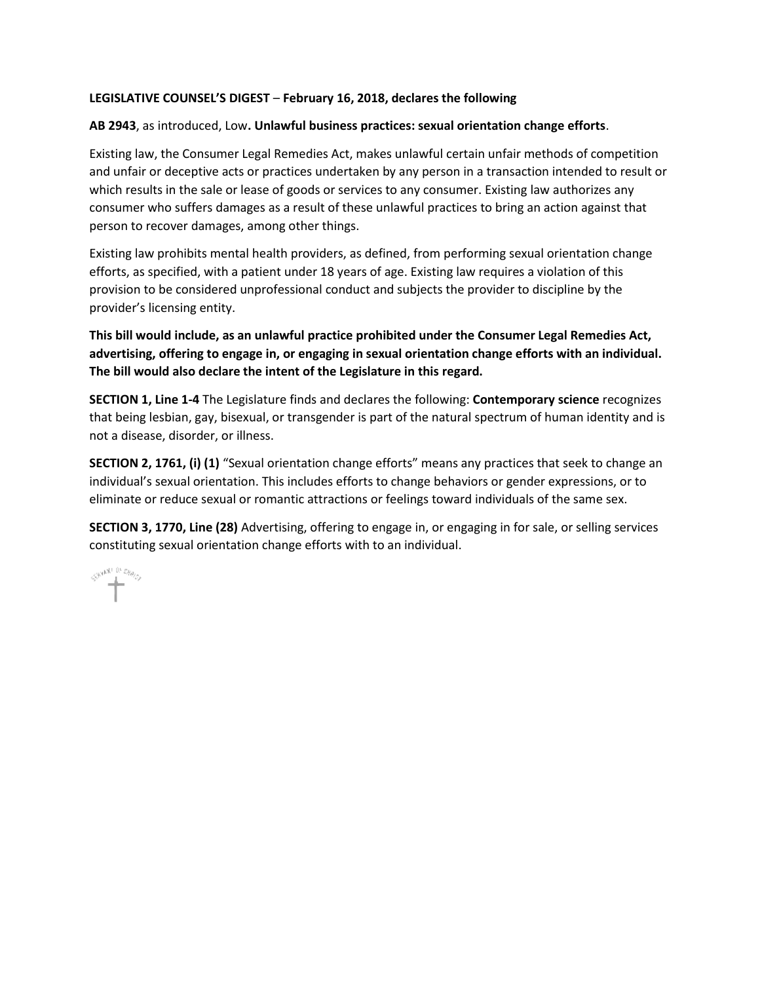#### **LEGISLATIVE COUNSEL'S DIGEST** – **February 16, 2018, declares the following**

#### **AB 2943**, as introduced, Low**. Unlawful business practices: sexual orientation change efforts**.

Existing law, the Consumer Legal Remedies Act, makes unlawful certain unfair methods of competition and unfair or deceptive acts or practices undertaken by any person in a transaction intended to result or which results in the sale or lease of goods or services to any consumer. Existing law authorizes any consumer who suffers damages as a result of these unlawful practices to bring an action against that person to recover damages, among other things.

Existing law prohibits mental health providers, as defined, from performing sexual orientation change efforts, as specified, with a patient under 18 years of age. Existing law requires a violation of this provision to be considered unprofessional conduct and subjects the provider to discipline by the provider's licensing entity.

#### **This bill would include, as an unlawful practice prohibited under the Consumer Legal Remedies Act, advertising, offering to engage in, or engaging in sexual orientation change efforts with an individual. The bill would also declare the intent of the Legislature in this regard.**

**SECTION 1, Line 1-4** The Legislature finds and declares the following: **Contemporary science** recognizes that being lesbian, gay, bisexual, or transgender is part of the natural spectrum of human identity and is not a disease, disorder, or illness.

**SECTION 2, 1761, (i) (1)** "Sexual orientation change efforts" means any practices that seek to change an individual's sexual orientation. This includes efforts to change behaviors or gender expressions, or to eliminate or reduce sexual or romantic attractions or feelings toward individuals of the same sex.

**SECTION 3, 1770, Line (28)** Advertising, offering to engage in, or engaging in for sale, or selling services constituting sexual orientation change efforts with to an individual.

SHANT IN Dig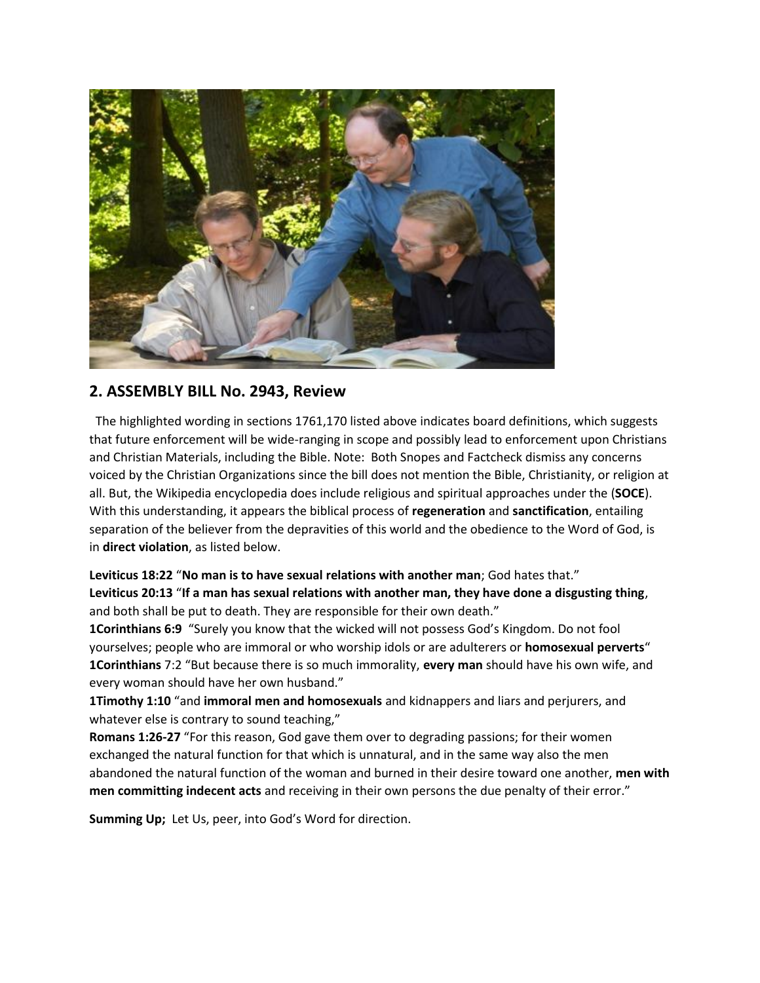

# **2. ASSEMBLY BILL No. 2943, Review**

The highlighted wording in sections 1761,170 listed above indicates board definitions, which suggests that future enforcement will be wide-ranging in scope and possibly lead to enforcement upon Christians and Christian Materials, including the Bible. Note: Both Snopes and Factcheck dismiss any concerns voiced by the Christian Organizations since the bill does not mention the Bible, Christianity, or religion at all. But, the Wikipedia encyclopedia does include religious and spiritual approaches under the (**SOCE**). With this understanding, it appears the biblical process of **regeneration** and **sanctification**, entailing separation of the believer from the depravities of this world and the obedience to the Word of God, is in **direct violation**, as listed below.

**Leviticus 18:22** "**No man is to have sexual relations with another man**; God hates that." **Leviticus 20:13** "**If a man has sexual relations with another man, they have done a disgusting thing**, and both shall be put to death. They are responsible for their own death."

**1Corinthians 6:9** "Surely you know that the wicked will not possess God's Kingdom. Do not fool yourselves; people who are immoral or who worship idols or are adulterers or **homosexual perverts**" **1Corinthians** 7:2 "But because there is so much immorality, **every man** should have his own wife, and every woman should have her own husband."

**1Timothy 1:10** "and **immoral men and homosexuals** and kidnappers and liars and perjurers, and whatever else is contrary to sound teaching,"

**Romans 1:26-27** "For this reason, God gave them over to degrading passions; for their women exchanged the natural function for that which is unnatural, and in the same way also the men abandoned the natural function of the woman and burned in their desire toward one another, **men with men committing indecent acts** and receiving in their own persons the due penalty of their error."

**Summing Up;** Let Us, peer, into God's Word for direction.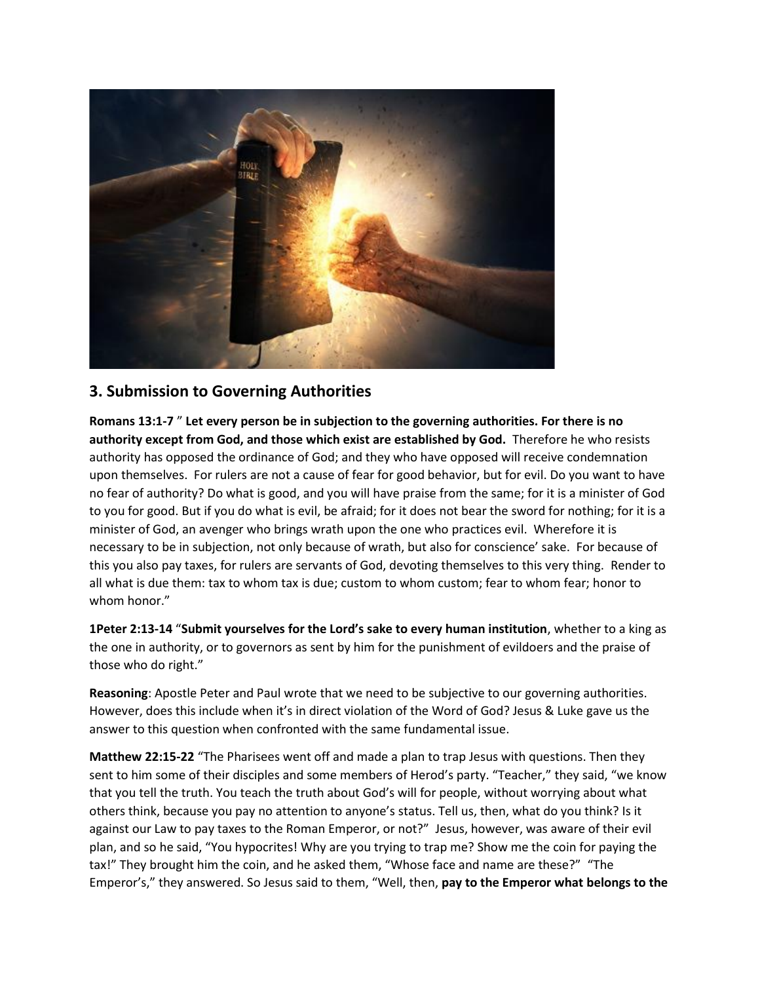

# **3. Submission to Governing Authorities**

**Romans 13:1-7** " **Let every person be in subjection to the governing authorities. For there is no authority except from God, and those which exist are established by God.** Therefore he who resists authority has opposed the ordinance of God; and they who have opposed will receive condemnation upon themselves. For rulers are not a cause of fear for good behavior, but for evil. Do you want to have no fear of authority? Do what is good, and you will have praise from the same; for it is a minister of God to you for good. But if you do what is evil, be afraid; for it does not bear the sword for nothing; for it is a minister of God, an avenger who brings wrath upon the one who practices evil. Wherefore it is necessary to be in subjection, not only because of wrath, but also for conscience' sake. For because of this you also pay taxes, for rulers are servants of God, devoting themselves to this very thing. Render to all what is due them: tax to whom tax is due; custom to whom custom; fear to whom fear; honor to whom honor."

**1Peter 2:13-14** "**Submit yourselves for the Lord's sake to every human institution**, whether to a king as the one in authority, or to governors as sent by him for the punishment of evildoers and the praise of those who do right."

**Reasoning**: Apostle Peter and Paul wrote that we need to be subjective to our governing authorities. However, does this include when it's in direct violation of the Word of God? Jesus & Luke gave us the answer to this question when confronted with the same fundamental issue.

**Matthew 22:15-22** "The Pharisees went off and made a plan to trap Jesus with questions. Then they sent to him some of their disciples and some members of Herod's party. "Teacher," they said, "we know that you tell the truth. You teach the truth about God's will for people, without worrying about what others think, because you pay no attention to anyone's status. Tell us, then, what do you think? Is it against our Law to pay taxes to the Roman Emperor, or not?" Jesus, however, was aware of their evil plan, and so he said, "You hypocrites! Why are you trying to trap me? Show me the coin for paying the tax!" They brought him the coin, and he asked them, "Whose face and name are these?" "The Emperor's," they answered. So Jesus said to them, "Well, then, **pay to the Emperor what belongs to the**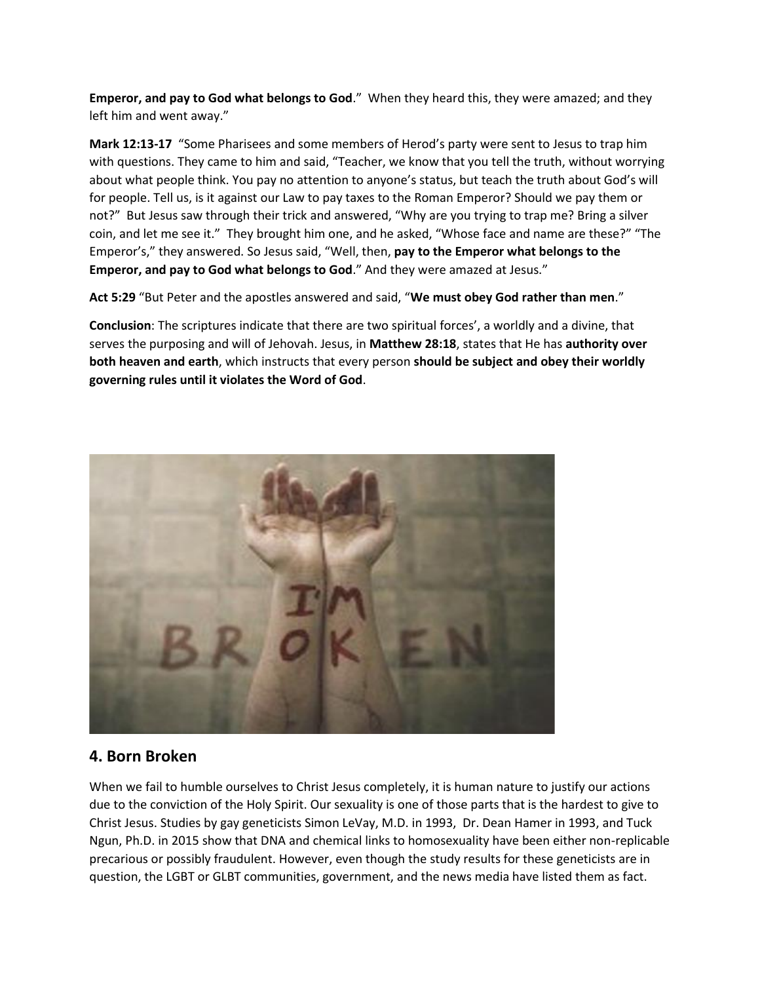**Emperor, and pay to God what belongs to God**." When they heard this, they were amazed; and they left him and went away."

**Mark 12:13-17** "Some Pharisees and some members of Herod's party were sent to Jesus to trap him with questions. They came to him and said, "Teacher, we know that you tell the truth, without worrying about what people think. You pay no attention to anyone's status, but teach the truth about God's will for people. Tell us, is it against our Law to pay taxes to the Roman Emperor? Should we pay them or not?" But Jesus saw through their trick and answered, "Why are you trying to trap me? Bring a silver coin, and let me see it." They brought him one, and he asked, "Whose face and name are these?" "The Emperor's," they answered. So Jesus said, "Well, then, **pay to the Emperor what belongs to the Emperor, and pay to God what belongs to God**." And they were amazed at Jesus."

**Act 5:29** "But Peter and the apostles answered and said, "**We must obey God rather than men**."

**Conclusion**: The scriptures indicate that there are two spiritual forces', a worldly and a divine, that serves the purposing and will of Jehovah. Jesus, in **Matthew 28:18**, states that He has **authority over both heaven and earth**, which instructs that every person **should be subject and obey their worldly governing rules until it violates the Word of God**.



## **4. Born Broken**

When we fail to humble ourselves to Christ Jesus completely, it is human nature to justify our actions due to the conviction of the Holy Spirit. Our sexuality is one of those parts that is the hardest to give to Christ Jesus. Studies by gay geneticists Simon LeVay, M.D. in 1993, Dr. Dean Hamer in 1993, and Tuck Ngun, Ph.D. in 2015 show that DNA and chemical links to homosexuality have been either non-replicable precarious or possibly fraudulent. However, even though the study results for these geneticists are in question, the LGBT or GLBT communities, government, and the news media have listed them as fact.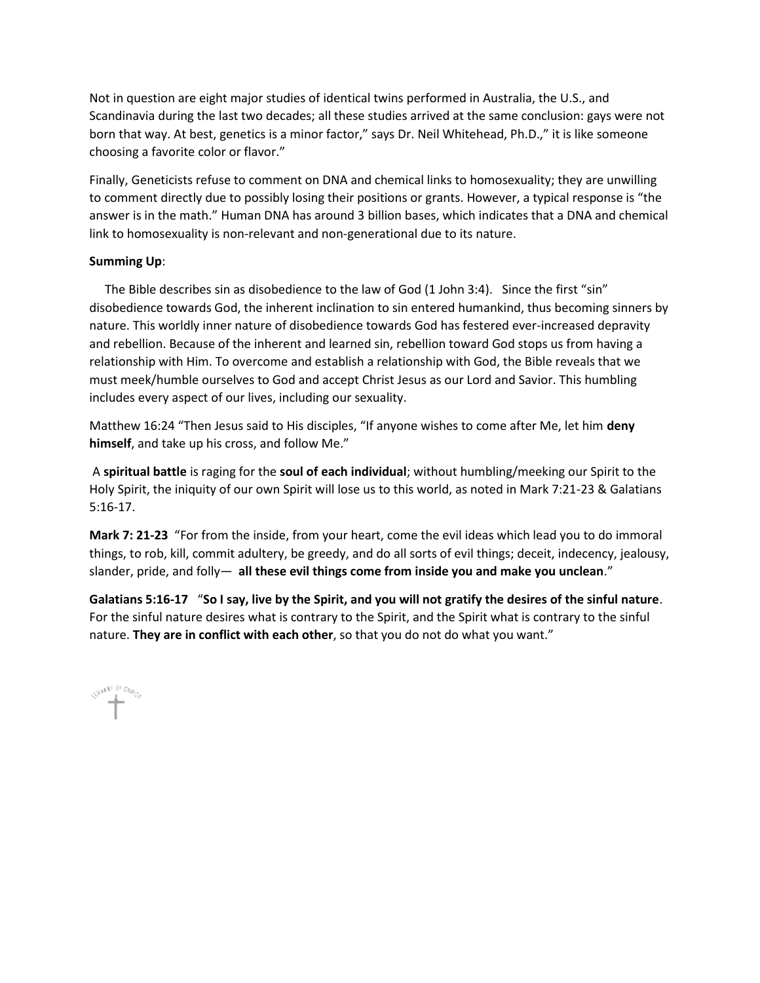Not in question are eight major studies of identical twins performed in Australia, the U.S., and Scandinavia during the last two decades; all these studies arrived at the same conclusion: gays were not born that way. At best, genetics is a minor factor," says Dr. Neil Whitehead, Ph.D.," it is like someone choosing a favorite color or flavor."

Finally, Geneticists refuse to comment on DNA and chemical links to homosexuality; they are unwilling to comment directly due to possibly losing their positions or grants. However, a typical response is "the answer is in the math." Human DNA has around 3 billion bases, which indicates that a DNA and chemical link to homosexuality is non-relevant and non-generational due to its nature.

#### **Summing Up**:

 The Bible describes sin as disobedience to the law of God (1 John 3:4). Since the first "sin" disobedience towards God, the inherent inclination to sin entered humankind, thus becoming sinners by nature. This worldly inner nature of disobedience towards God has festered ever-increased depravity and rebellion. Because of the inherent and learned sin, rebellion toward God stops us from having a relationship with Him. To overcome and establish a relationship with God, the Bible reveals that we must meek/humble ourselves to God and accept Christ Jesus as our Lord and Savior. This humbling includes every aspect of our lives, including our sexuality.

Matthew 16:24 "Then Jesus said to His disciples, "If anyone wishes to come after Me, let him **deny himself**, and take up his cross, and follow Me."

A **spiritual battle** is raging for the **soul of each individual**; without humbling/meeking our Spirit to the Holy Spirit, the iniquity of our own Spirit will lose us to this world, as noted in Mark 7:21-23 & Galatians 5:16-17.

**Mark 7: 21-23** "For from the inside, from your heart, come the evil ideas which lead you to do immoral things, to rob, kill, commit adultery, be greedy, and do all sorts of evil things; deceit, indecency, jealousy, slander, pride, and folly— **all these evil things come from inside you and make you unclean**."

**Galatians 5:16-17** "**So I say, live by the Spirit, and you will not gratify the desires of the sinful nature**. For the sinful nature desires what is contrary to the Spirit, and the Spirit what is contrary to the sinful nature. **They are in conflict with each other**, so that you do not do what you want."

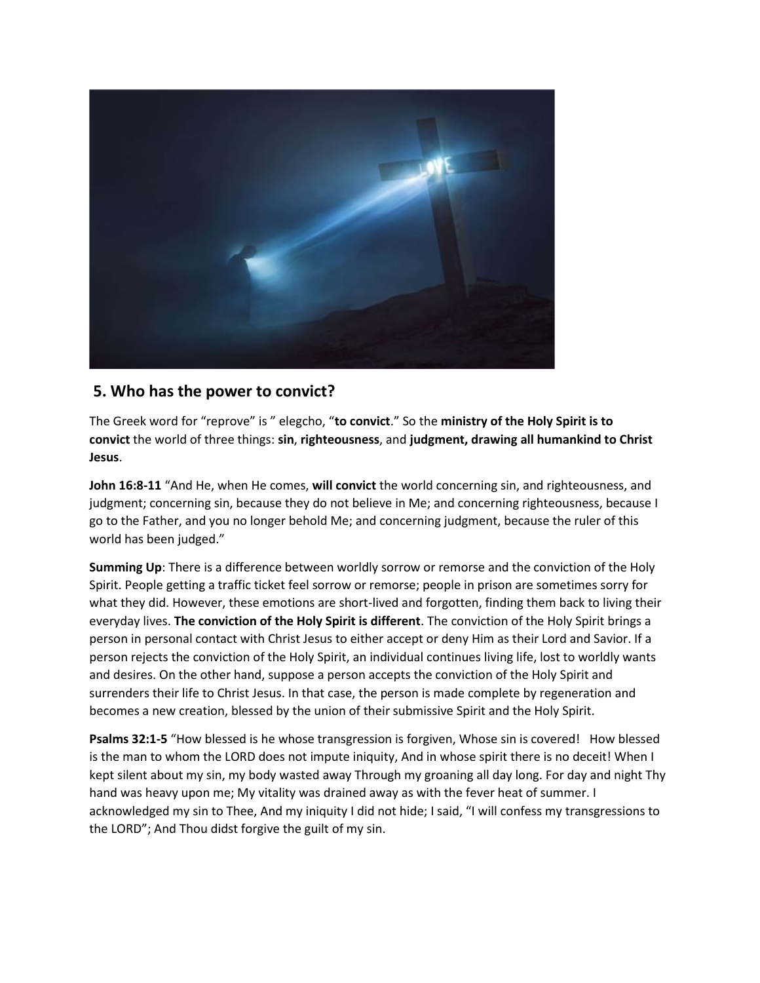

# **5. Who has the power to convict?**

The Greek word for "reprove" is " elegcho, "**to convict**." So the **ministry of the Holy Spirit is to convict** the world of three things: **sin**, **righteousness**, and **judgment, drawing all humankind to Christ Jesus**.

**John 16:8-11** "And He, when He comes, **will convict** the world concerning sin, and righteousness, and judgment; concerning sin, because they do not believe in Me; and concerning righteousness, because I go to the Father, and you no longer behold Me; and concerning judgment, because the ruler of this world has been judged."

**Summing Up**: There is a difference between worldly sorrow or remorse and the conviction of the Holy Spirit. People getting a traffic ticket feel sorrow or remorse; people in prison are sometimes sorry for what they did. However, these emotions are short-lived and forgotten, finding them back to living their everyday lives. **The conviction of the Holy Spirit is different**. The conviction of the Holy Spirit brings a person in personal contact with Christ Jesus to either accept or deny Him as their Lord and Savior. If a person rejects the conviction of the Holy Spirit, an individual continues living life, lost to worldly wants and desires. On the other hand, suppose a person accepts the conviction of the Holy Spirit and surrenders their life to Christ Jesus. In that case, the person is made complete by regeneration and becomes a new creation, blessed by the union of their submissive Spirit and the Holy Spirit.

**Psalms 32:1-5** "How blessed is he whose transgression is forgiven, Whose sin is covered! How blessed is the man to whom the LORD does not impute iniquity, And in whose spirit there is no deceit! When I kept silent about my sin, my body wasted away Through my groaning all day long. For day and night Thy hand was heavy upon me; My vitality was drained away as with the fever heat of summer. I acknowledged my sin to Thee, And my iniquity I did not hide; I said, "I will confess my transgressions to the LORD"; And Thou didst forgive the guilt of my sin.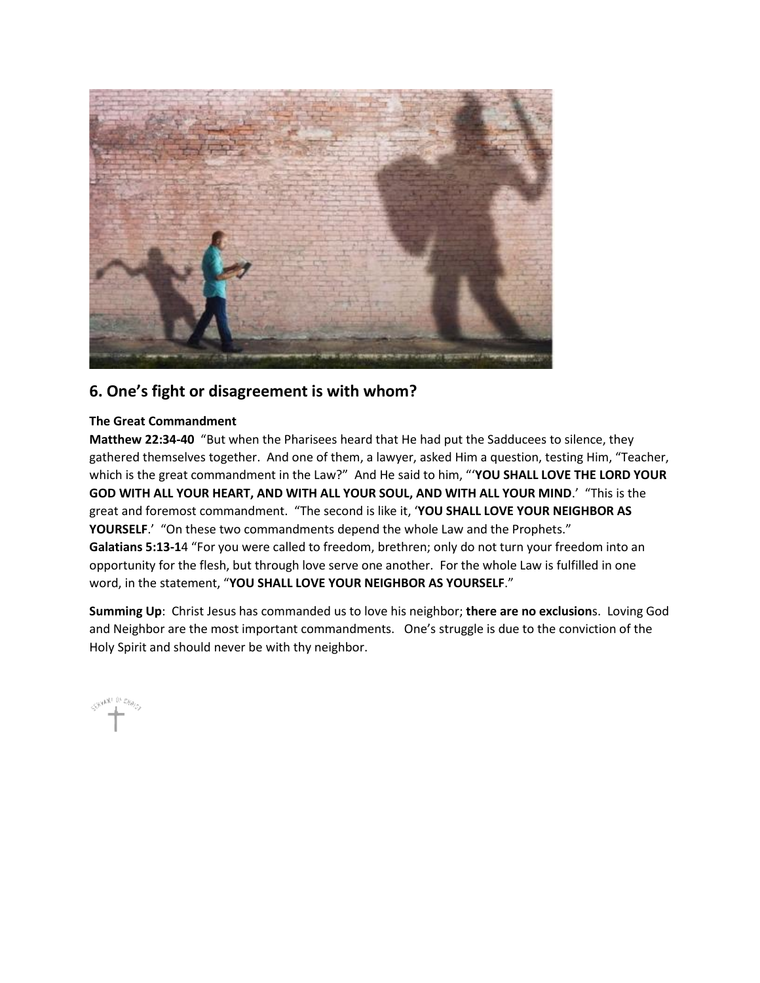

# **6. One's fight or disagreement is with whom?**

#### **The Great Commandment**

**Matthew 22:34-40** "But when the Pharisees heard that He had put the Sadducees to silence, they gathered themselves together. And one of them, a lawyer, asked Him a question, testing Him, "Teacher, which is the great commandment in the Law?" And He said to him, "'**YOU SHALL LOVE THE LORD YOUR GOD WITH ALL YOUR HEART, AND WITH ALL YOUR SOUL, AND WITH ALL YOUR MIND**.' "This is the great and foremost commandment. "The second is like it, '**YOU SHALL LOVE YOUR NEIGHBOR AS YOURSELF**.' "On these two commandments depend the whole Law and the Prophets." **Galatians 5:13-1**4 "For you were called to freedom, brethren; only do not turn your freedom into an opportunity for the flesh, but through love serve one another. For the whole Law is fulfilled in one word, in the statement, "**YOU SHALL LOVE YOUR NEIGHBOR AS YOURSELF**."

**Summing Up**: Christ Jesus has commanded us to love his neighbor; **there are no exclusion**s. Loving God and Neighbor are the most important commandments. One's struggle is due to the conviction of the Holy Spirit and should never be with thy neighbor.

CHANNEL OF CHANNEL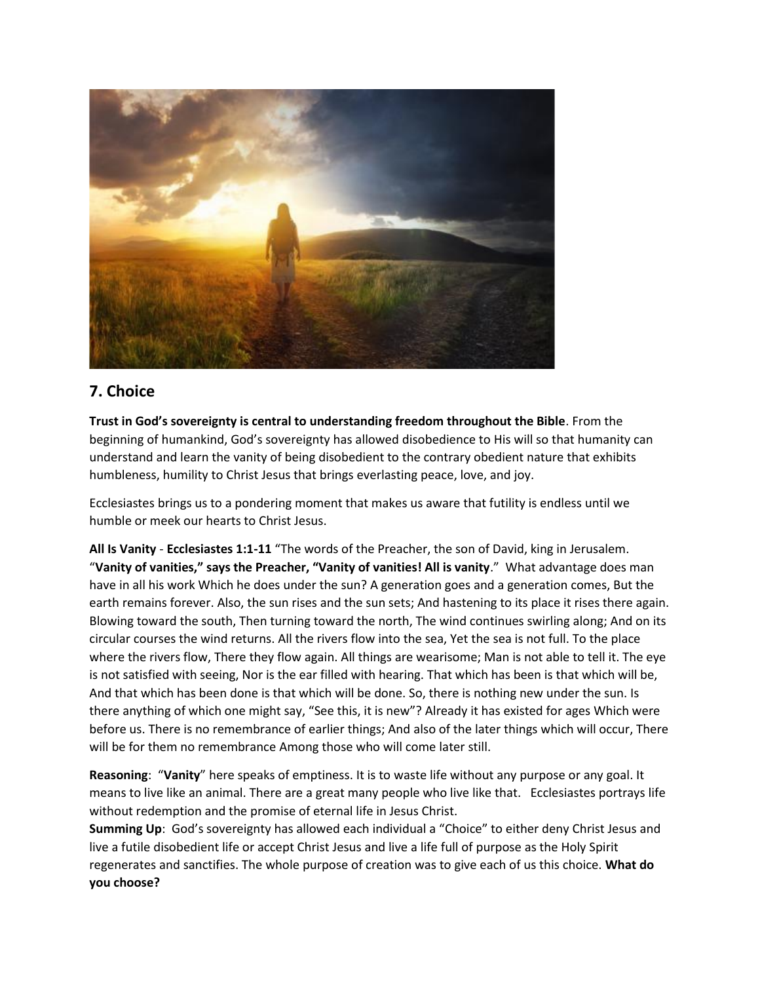

# **7. Choice**

**Trust in God's sovereignty is central to understanding freedom throughout the Bible**. From the beginning of humankind, God's sovereignty has allowed disobedience to His will so that humanity can understand and learn the vanity of being disobedient to the contrary obedient nature that exhibits humbleness, humility to Christ Jesus that brings everlasting peace, love, and joy.

Ecclesiastes brings us to a pondering moment that makes us aware that futility is endless until we humble or meek our hearts to Christ Jesus.

**All Is Vanity** - **Ecclesiastes 1:1-11** "The words of the Preacher, the son of David, king in Jerusalem. "**Vanity of vanities," says the Preacher, "Vanity of vanities! All is vanity**." What advantage does man have in all his work Which he does under the sun? A generation goes and a generation comes, But the earth remains forever. Also, the sun rises and the sun sets; And hastening to its place it rises there again. Blowing toward the south, Then turning toward the north, The wind continues swirling along; And on its circular courses the wind returns. All the rivers flow into the sea, Yet the sea is not full. To the place where the rivers flow, There they flow again. All things are wearisome; Man is not able to tell it. The eye is not satisfied with seeing, Nor is the ear filled with hearing. That which has been is that which will be, And that which has been done is that which will be done. So, there is nothing new under the sun. Is there anything of which one might say, "See this, it is new"? Already it has existed for ages Which were before us. There is no remembrance of earlier things; And also of the later things which will occur, There will be for them no remembrance Among those who will come later still.

**Reasoning**: "**Vanity**" here speaks of emptiness. It is to waste life without any purpose or any goal. It means to live like an animal. There are a great many people who live like that. Ecclesiastes portrays life without redemption and the promise of eternal life in Jesus Christ.

**Summing Up**: God's sovereignty has allowed each individual a "Choice" to either deny Christ Jesus and live a futile disobedient life or accept Christ Jesus and live a life full of purpose as the Holy Spirit regenerates and sanctifies. The whole purpose of creation was to give each of us this choice. **What do you choose?**